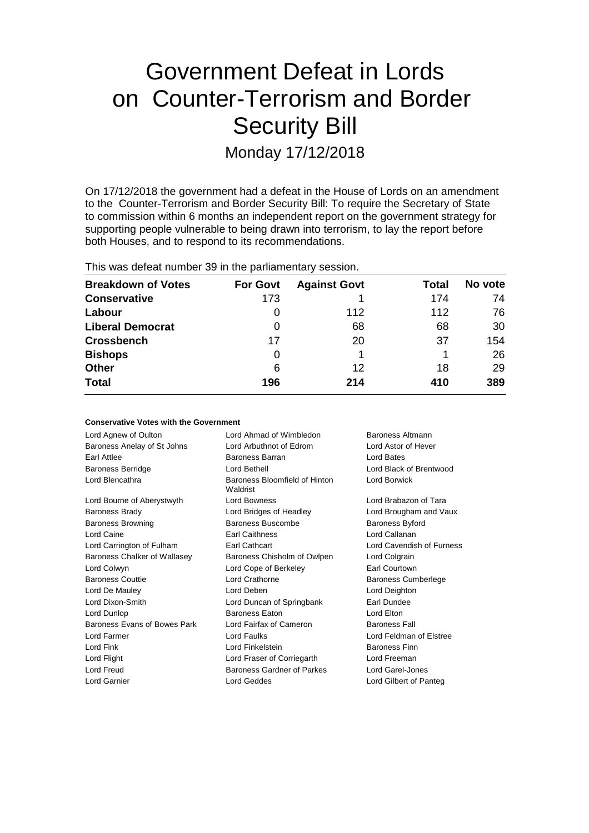# Government Defeat in Lords on Counter-Terrorism and Border Security Bill Monday 17/12/2018

On 17/12/2018 the government had a defeat in the House of Lords on an amendment to the Counter-Terrorism and Border Security Bill: To require the Secretary of State to commission within 6 months an independent report on the government strategy for supporting people vulnerable to being drawn into terrorism, to lay the report before both Houses, and to respond to its recommendations.

| This was defeat number 39 in the parliamentary session. |                 |                     |       |         |  |  |
|---------------------------------------------------------|-----------------|---------------------|-------|---------|--|--|
| <b>Breakdown of Votes</b>                               | <b>For Govt</b> | <b>Against Govt</b> | Total | No vote |  |  |
| Conservative                                            | 173             |                     | 174   | 74      |  |  |
| Labour                                                  |                 | 112                 | 112   | 76      |  |  |
| <b>Liberal Democrat</b>                                 | 0               | 68                  | 68    | 30      |  |  |
| <b>Crossbench</b>                                       | 17              | 20                  | 37    | 154     |  |  |
| <b>Bishops</b>                                          | 0               |                     |       | 26      |  |  |

6 12 18 **196 214 410**

**No vote**

29 **389**

**Other Total**

| <b>Conservative Votes with the Government</b> |                            |
|-----------------------------------------------|----------------------------|
| Lord Ahmad of Wimbledon                       | Baroness Altmann           |
| Lord Arbuthnot of Edrom                       | Lord Astor of Hever        |
| Baroness Barran                               | Lord Bates                 |
| Lord Bethell                                  | Lord Black of Brentwood    |
| Baroness Bloomfield of Hinton<br>Waldrist     | Lord Borwick               |
| <b>Lord Bowness</b>                           | Lord Brabazon of Tara      |
| Lord Bridges of Headley                       | Lord Brougham and Vaux     |
| Baroness Buscombe                             | <b>Baroness Byford</b>     |
| <b>Earl Caithness</b>                         | Lord Callanan              |
| Earl Cathcart                                 | Lord Cavendish of Furness  |
| Baroness Chisholm of Owlpen                   | Lord Colgrain              |
| Lord Cope of Berkeley                         | Earl Courtown              |
| Lord Crathorne                                | <b>Baroness Cumberlege</b> |
| Lord Deben                                    | Lord Deighton              |
| Lord Duncan of Springbank                     | Earl Dundee                |
| <b>Baroness Faton</b>                         | Lord Elton                 |
| Lord Fairfax of Cameron                       | <b>Baroness Fall</b>       |
| Lord Faulks                                   | Lord Feldman of Elstree    |
| Lord Finkelstein                              | <b>Baroness Finn</b>       |
| Lord Fraser of Corriegarth                    | Lord Freeman               |
| Baroness Gardner of Parkes                    | Lord Garel-Jones           |
| Lord Geddes                                   | Lord Gilbert of Panteg     |
|                                               |                            |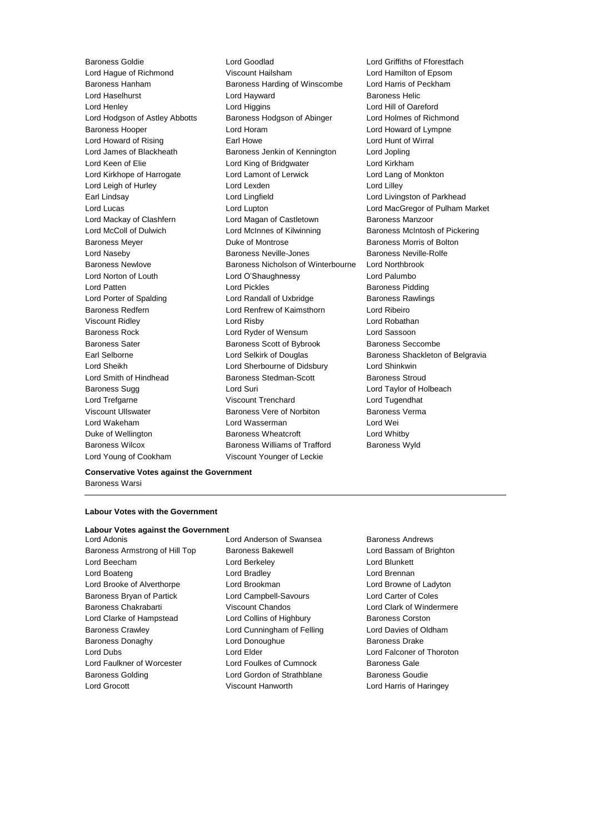Baroness Goldie Lord Goodlad Lord Griffiths of Fforestfach Lord Hague of Richmond Viscount Hailsham Lord Hamilton of Epsom Baroness Hanham Baroness Harding of Winscombe Lord Harris of Peckham Lord Haselhurst **Lord Hayward** Baroness Helic Lord Henley Lord Higgins Lord Hill of Oareford Lord Hodgson of Astley Abbotts Baroness Hodgson of Abinger Lord Holmes of Richmond Baroness Hooper Lord Horam Lord Howard of Lympne Lord Howard of Rising Earl Howe Lord Hunt of Wirral Lord James of Blackheath Baroness Jenkin of Kennington Lord Jopling Lord Keen of Elie Lord King of Bridgwater Lord Kirkham Lord Kirkhope of Harrogate Lord Lamont of Lerwick Lord Lang of Monkton Lord Leigh of Hurley **Lord Lord Lexden** Lord Lord Lilley Earl Lindsay **Lord Lingfield** Lord Lingfield **Lord Lingston of Parkhead** Lord Lucas Lord Lupton Lord MacGregor of Pulham Market Lord Mackay of Clashfern Lord Magan of Castletown Baroness Manzoor Lord McColl of Dulwich **Lord McInnes of Kilwinning** Baroness McIntosh of Pickering Baroness Meyer **Duke of Montrose Baroness Morris of Bolton** Lord Naseby Baroness Neville-Jones Baroness Neville-Rolfe Baroness Newlove Baroness Nicholson of Winterbourne Lord Northbrook Lord Norton of Louth Lord O'Shaughnessy Lord Palumbo Lord Patten **Lord Pickles Lord Pickles Baroness Pidding** Lord Porter of Spalding **Lord Randall of Uxbridge** Baroness Rawlings Baroness Redfern Lord Renfrew of Kaimsthorn Lord Ribeiro Viscount Ridley Lord Risby Lord Robathan Baroness Rock Lord Ryder of Wensum Lord Sassoon Baroness Sater **Baroness Scott of Bybrook** Baroness Seccombe Earl Selborne Lord Selkirk of Douglas Baroness Shackleton of Belgravia Lord Sheikh Lord Sherbourne of Didsbury Lord Shinkwin Lord Smith of Hindhead **Baroness Stedman-Scott** Baroness Stroud Baroness Sugg Lord Suri Lord Taylor of Holbeach Lord Trefgarne Viscount Trenchard Lord Tugendhat Viscount Ullswater Baroness Vere of Norbiton Baroness Verma Lord Wakeham Lord Wasserman Lord Wei Duke of Wellington **Baroness Wheatcroft Lord Whitby** Baroness Wilcox **Baroness Williams of Trafford** Baroness Wyld Lord Young of Cookham Viscount Younger of Leckie

**Conservative Votes against the Government** Baroness Warsi

## **Labour Votes with the Government**

# **Labour Votes against the Government<br>Lord Adonis**

- Baroness Armstrong of Hill Top Baroness Bakewell **Baroness Bakewell** Lord Bassam of Brighton Lord Beecham Lord Berkeley Lord Blunkett Lord Boateng Lord Bradley Lord Brennan Lord Brooke of Alverthorpe Lord Brookman Lord Browne of Ladyton Baroness Bryan of Partick Lord Campbell-Savours Lord Carter of Coles Baroness Chakrabarti Viscount Chandos Lord Clark of Windermere Lord Clarke of Hampstead Lord Collins of Highbury Baroness Corston Baroness Crawley **Lord Cunningham of Felling** Lord Davies of Oldham Baroness Donaghy **Lord Donoughue Baroness Drake** Baroness Drake Lord Dubs Lord Elder Lord Falconer of Thoroton Lord Faulkner of Worcester **Lord Foulkes of Cumnock** Baroness Gale Baroness Golding **Lord Gordon of Strathblane** Baroness Goudie Lord Grocott Viscount Hanworth Lord Harris of Haringey
- Lord Anderson of Swansea Baroness Andrews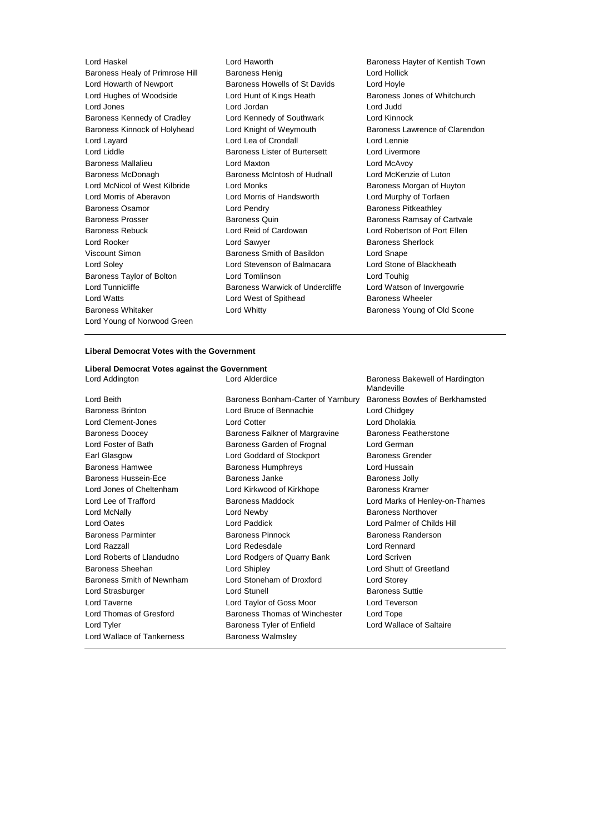Lord Haskel Lord Haworth Baroness Hayter of Kentish Town Baroness Healy of Primrose Hill Baroness Henig Lord Hollick Lord Howarth of Newport Baroness Howells of St Davids Lord Hoyle Lord Hughes of Woodside Lord Hunt of Kings Heath Baroness Jones of Whitchurch Lord Jones Lord Jordan Lord Judd Baroness Kennedy of Cradley Lord Kennedy of Southwark Lord Kinnock Baroness Kinnock of Holyhead Lord Knight of Weymouth Baroness Lawrence of Clarendon Lord Layard Lord Lea of Crondall Lord Lennie Lord Liddle Baroness Lister of Burtersett Lord Livermore Baroness Mallalieu **Lord Maxton** Lord Maxton Lord McAvoy Baroness McDonagh Baroness McIntosh of Hudnall Lord McKenzie of Luton Lord McNicol of West Kilbride Lord Monks **Baroness Morgan of Huyton** Lord Morris of Aberavon Lord Morris of Handsworth Lord Murphy of Torfaen Baroness Osamor **Lord Pendry Community** Baroness Pitkeathley Baroness Prosser Baroness Quin Baroness Ramsay of Cartvale Baroness Rebuck Lord Reid of Cardowan Lord Robertson of Port Ellen Lord Rooker **Lord Sawyer Lord Sawyer** Baroness Sherlock Viscount Simon Baroness Smith of Basildon Lord Snape Lord Soley Lord Stevenson of Balmacara Lord Stone of Blackheath Baroness Taylor of Bolton **Lord Tomlinson** Lord Touhig Lord Tunnicliffe **Baroness Warwick of Undercliffe** Lord Watson of Invergowrie Lord Watts **Lord West of Spithead** Baroness Wheeler Baroness Whitaker **Lord Whitty Baroness Young of Old Scone** Lord Young of Norwood Green

## **Liberal Democrat Votes with the Government**

# **Liberal Democrat Votes against the Government**

Lord Beith Baroness Bonham-Carter of Yarnbury Baroness Bowles of Berkhamsted Baroness Brinton Lord Bruce of Bennachie Lord Chidgey Lord Clement-Jones Lord Cotter Lord Cotter Lord Cotter Lord Dholakia Baroness Doocey **Baroness Falkner of Margravine** Baroness Featherstone Lord Foster of Bath Baroness Garden of Frognal Lord German Earl Glasgow Lord Goddard of Stockport Baroness Grender Baroness Hamwee **Baroness Humphreys** Lord Hussain Baroness Hussein-Ece **Baroness Janke** Baroness John Baroness Jolly Lord Jones of Cheltenham Lord Kirkwood of Kirkhope Baroness Kramer Lord Lee of Trafford Baroness Maddock Lord Marks of Henley-on-Thames **Lord McNally Lord Newby Constant Lord Newby Baroness Northover** Lord Oates Lord Paddick Lord Palmer of Childs Hill Baroness Parminter Baroness Pinnock Baroness Randerson Lord Razzall Lord Redesdale Lord Rennard Lord Roberts of Llandudno Lord Rodgers of Quarry Bank Lord Scriven Baroness Sheehan Lord Shipley Lord Shutt of Greetland Baroness Smith of Newnham Lord Stoneham of Droxford Lord Storey Lord Strasburger **Lord Stunell** Lord Stunell **Baroness** Suttie Lord Taverne Lord Taylor of Goss Moor Lord Teverson Lord Thomas of Gresford Baroness Thomas of Winchester Lord Tope Lord Tyler **Baroness Tyler of Enfield** Lord Wallace of Saltaire Lord Wallace of Tankerness **Baroness Walmsley** 

Lord Addington **Lord Alderdice** Baroness Bakewell of Hardington Mandeville